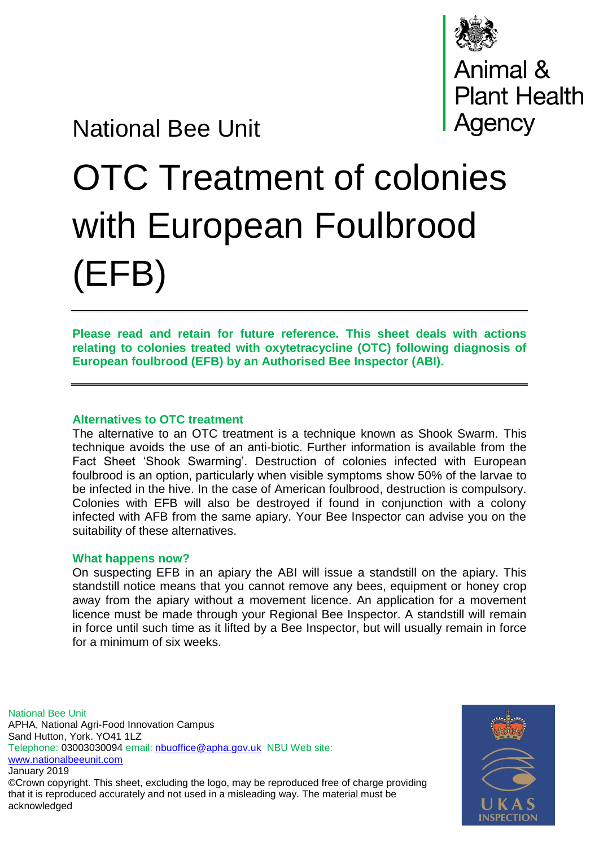

## National Bee Unit

# OTC Treatment of colonies with European Foulbrood (EFB)

**Please read and retain for future reference. This sheet deals with actions relating to colonies treated with oxytetracycline (OTC) following diagnosis of European foulbrood (EFB) by an Authorised Bee Inspector (ABI).** 

### **Alternatives to OTC treatment**

The alternative to an OTC treatment is a technique known as Shook Swarm. This technique avoids the use of an anti-biotic. Further information is available from the Fact Sheet 'Shook Swarming'. Destruction of colonies infected with European foulbrood is an option, particularly when visible symptoms show 50% of the larvae to be infected in the hive. In the case of American foulbrood, destruction is compulsory. Colonies with EFB will also be destroyed if found in conjunction with a colony infected with AFB from the same apiary. Your Bee Inspector can advise you on the suitability of these alternatives.

#### **What happens now?**

On suspecting EFB in an apiary the ABI will issue a standstill on the apiary. This standstill notice means that you cannot remove any bees, equipment or honey crop away from the apiary without a movement licence. An application for a movement licence must be made through your Regional Bee Inspector. A standstill will remain in force until such time as it lifted by a Bee Inspector, but will usually remain in force for a minimum of six weeks.

National Bee Unit APHA, National Agri-Food Innovation Campus Sand Hutton, York. YO41 1LZ Telephone: 03003030094 email: [nbuoffice@apha.gov.uk](mailto:nbuoffice@apha.gov.uk) NBU Web site: [www.nationalbeeunit.com](http://www.nationalbeeunit.com/) January 2019 ©Crown copyright. This sheet, excluding the logo, may be reproduced free of charge providing that it is reproduced accurately and not used in a misleading way. The material must be acknowledged